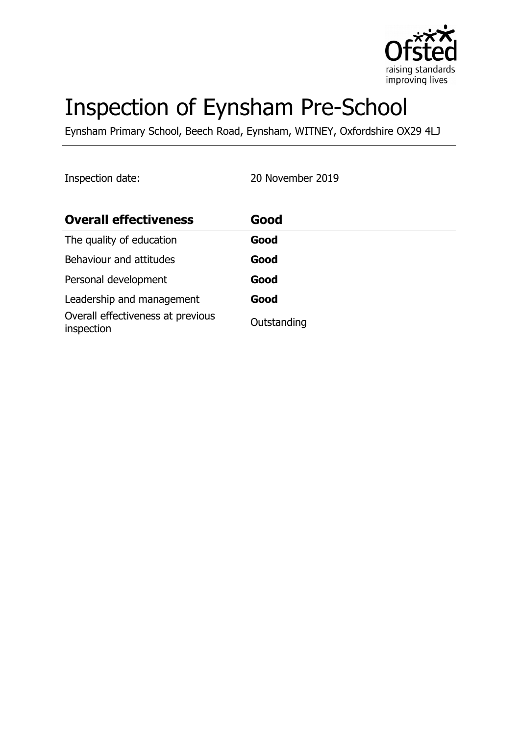

# Inspection of Eynsham Pre-School

Eynsham Primary School, Beech Road, Eynsham, WITNEY, Oxfordshire OX29 4LJ

Inspection date: 20 November 2019

| <b>Overall effectiveness</b>                    | Good        |
|-------------------------------------------------|-------------|
| The quality of education                        | Good        |
| Behaviour and attitudes                         | Good        |
| Personal development                            | Good        |
| Leadership and management                       | Good        |
| Overall effectiveness at previous<br>inspection | Outstanding |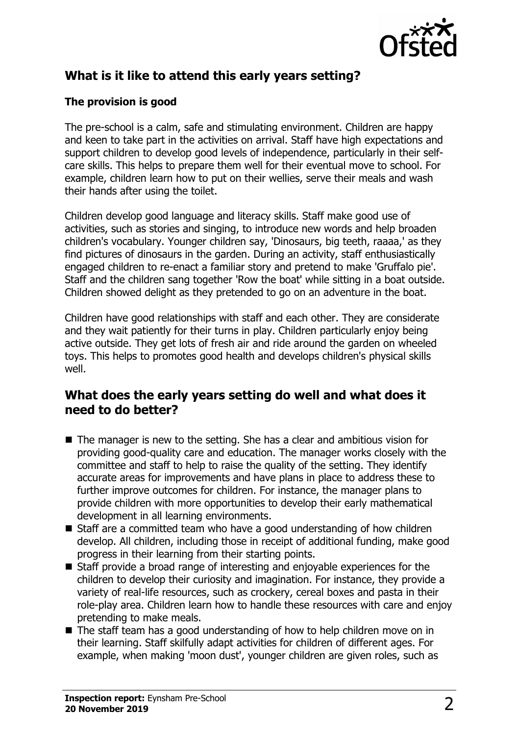

# **What is it like to attend this early years setting?**

#### **The provision is good**

The pre-school is a calm, safe and stimulating environment. Children are happy and keen to take part in the activities on arrival. Staff have high expectations and support children to develop good levels of independence, particularly in their selfcare skills. This helps to prepare them well for their eventual move to school. For example, children learn how to put on their wellies, serve their meals and wash their hands after using the toilet.

Children develop good language and literacy skills. Staff make good use of activities, such as stories and singing, to introduce new words and help broaden children's vocabulary. Younger children say, 'Dinosaurs, big teeth, raaaa,' as they find pictures of dinosaurs in the garden. During an activity, staff enthusiastically engaged children to re-enact a familiar story and pretend to make 'Gruffalo pie'. Staff and the children sang together 'Row the boat' while sitting in a boat outside. Children showed delight as they pretended to go on an adventure in the boat.

Children have good relationships with staff and each other. They are considerate and they wait patiently for their turns in play. Children particularly enjoy being active outside. They get lots of fresh air and ride around the garden on wheeled toys. This helps to promotes good health and develops children's physical skills well.

#### **What does the early years setting do well and what does it need to do better?**

- $\blacksquare$  The manager is new to the setting. She has a clear and ambitious vision for providing good-quality care and education. The manager works closely with the committee and staff to help to raise the quality of the setting. They identify accurate areas for improvements and have plans in place to address these to further improve outcomes for children. For instance, the manager plans to provide children with more opportunities to develop their early mathematical development in all learning environments.
- $\blacksquare$  Staff are a committed team who have a good understanding of how children develop. All children, including those in receipt of additional funding, make good progress in their learning from their starting points.
- $\blacksquare$  Staff provide a broad range of interesting and enjoyable experiences for the children to develop their curiosity and imagination. For instance, they provide a variety of real-life resources, such as crockery, cereal boxes and pasta in their role-play area. Children learn how to handle these resources with care and enjoy pretending to make meals.
- $\blacksquare$  The staff team has a good understanding of how to help children move on in their learning. Staff skilfully adapt activities for children of different ages. For example, when making 'moon dust', younger children are given roles, such as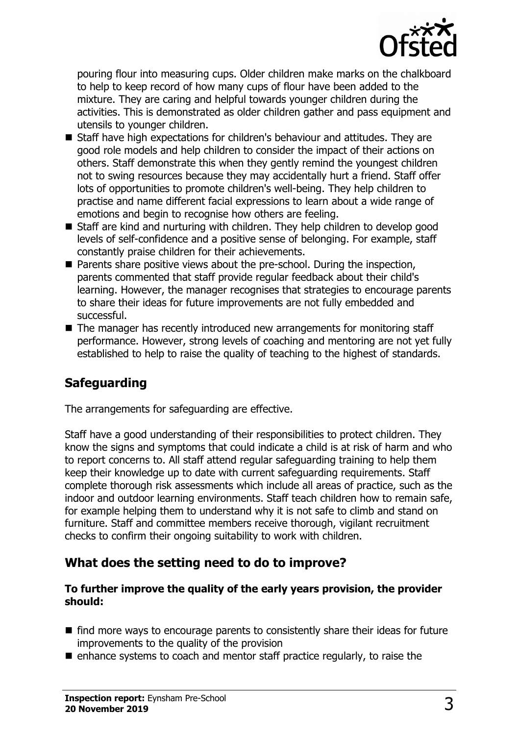

pouring flour into measuring cups. Older children make marks on the chalkboard to help to keep record of how many cups of flour have been added to the mixture. They are caring and helpful towards younger children during the activities. This is demonstrated as older children gather and pass equipment and utensils to younger children.

- $\blacksquare$  Staff have high expectations for children's behaviour and attitudes. They are good role models and help children to consider the impact of their actions on others. Staff demonstrate this when they gently remind the youngest children not to swing resources because they may accidentally hurt a friend. Staff offer lots of opportunities to promote children's well-being. They help children to practise and name different facial expressions to learn about a wide range of emotions and begin to recognise how others are feeling.
- Staff are kind and nurturing with children. They help children to develop good levels of self-confidence and a positive sense of belonging. For example, staff constantly praise children for their achievements.
- $\blacksquare$  Parents share positive views about the pre-school. During the inspection, parents commented that staff provide regular feedback about their child's learning. However, the manager recognises that strategies to encourage parents to share their ideas for future improvements are not fully embedded and successful.
- $\blacksquare$  The manager has recently introduced new arrangements for monitoring staff performance. However, strong levels of coaching and mentoring are not yet fully established to help to raise the quality of teaching to the highest of standards.

## **Safeguarding**

The arrangements for safeguarding are effective.

Staff have a good understanding of their responsibilities to protect children. They know the signs and symptoms that could indicate a child is at risk of harm and who to report concerns to. All staff attend regular safeguarding training to help them keep their knowledge up to date with current safeguarding requirements. Staff complete thorough risk assessments which include all areas of practice, such as the indoor and outdoor learning environments. Staff teach children how to remain safe, for example helping them to understand why it is not safe to climb and stand on furniture. Staff and committee members receive thorough, vigilant recruitment checks to confirm their ongoing suitability to work with children.

## **What does the setting need to do to improve?**

#### **To further improve the quality of the early years provision, the provider should:**

- $\blacksquare$  find more ways to encourage parents to consistently share their ideas for future improvements to the quality of the provision
- $\blacksquare$  enhance systems to coach and mentor staff practice regularly, to raise the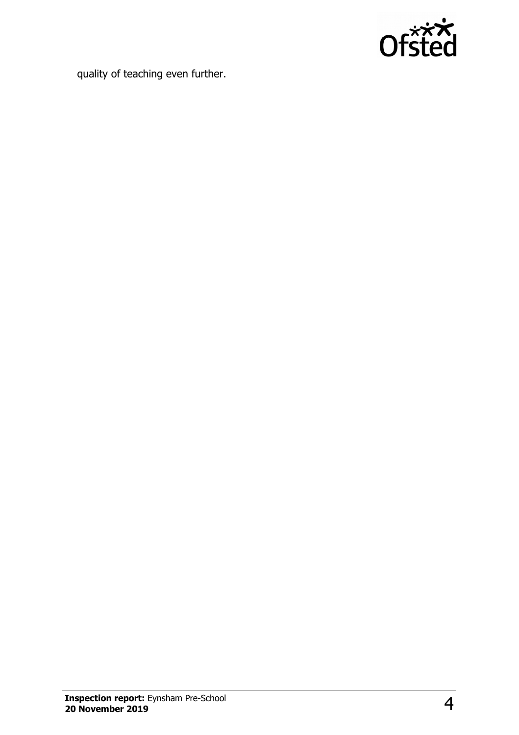

quality of teaching even further.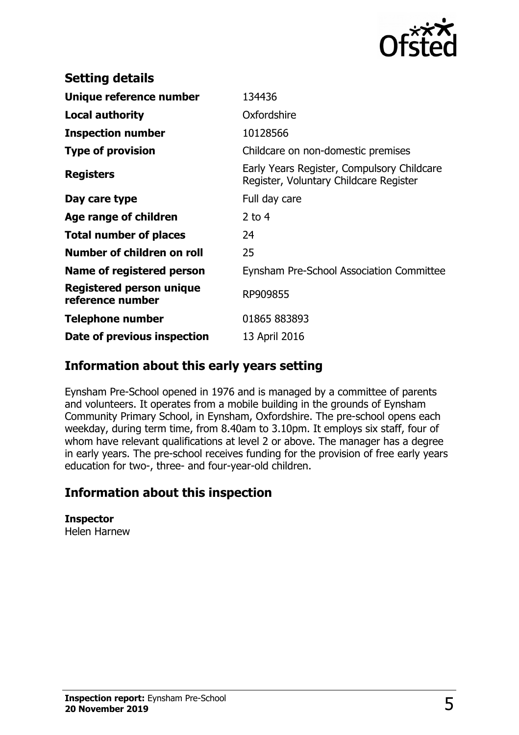

| <b>Setting details</b>                              |                                                                                      |
|-----------------------------------------------------|--------------------------------------------------------------------------------------|
| Unique reference number                             | 134436                                                                               |
| <b>Local authority</b>                              | Oxfordshire                                                                          |
| <b>Inspection number</b>                            | 10128566                                                                             |
| <b>Type of provision</b>                            | Childcare on non-domestic premises                                                   |
| <b>Registers</b>                                    | Early Years Register, Compulsory Childcare<br>Register, Voluntary Childcare Register |
| Day care type                                       | Full day care                                                                        |
| Age range of children                               | $2$ to 4                                                                             |
| <b>Total number of places</b>                       | 24                                                                                   |
| Number of children on roll                          | 25                                                                                   |
| Name of registered person                           | <b>Eynsham Pre-School Association Committee</b>                                      |
| <b>Registered person unique</b><br>reference number | RP909855                                                                             |
| <b>Telephone number</b>                             | 01865 883893                                                                         |
| Date of previous inspection                         | 13 April 2016                                                                        |

#### **Information about this early years setting**

Eynsham Pre-School opened in 1976 and is managed by a committee of parents and volunteers. It operates from a mobile building in the grounds of Eynsham Community Primary School, in Eynsham, Oxfordshire. The pre-school opens each weekday, during term time, from 8.40am to 3.10pm. It employs six staff, four of whom have relevant qualifications at level 2 or above. The manager has a degree in early years. The pre-school receives funding for the provision of free early years education for two-, three- and four-year-old children.

## **Information about this inspection**

**Inspector** Helen Harnew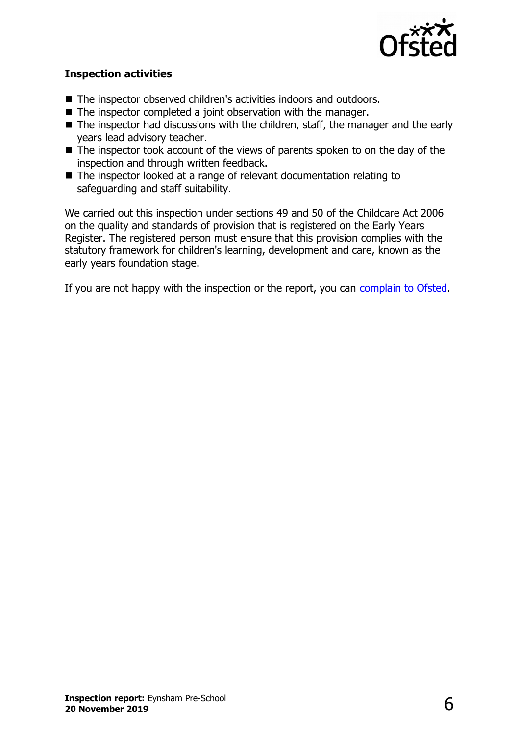

#### **Inspection activities**

- The inspector observed children's activities indoors and outdoors.
- $\blacksquare$  The inspector completed a joint observation with the manager.
- $\blacksquare$  The inspector had discussions with the children, staff, the manager and the early years lead advisory teacher.
- $\blacksquare$  The inspector took account of the views of parents spoken to on the day of the inspection and through written feedback.
- The inspector looked at a range of relevant documentation relating to safeguarding and staff suitability.

We carried out this inspection under sections 49 and 50 of the Childcare Act 2006 on the quality and standards of provision that is registered on the Early Years Register. The registered person must ensure that this provision complies with the statutory framework for children's learning, development and care, known as the early years foundation stage.

If you are not happy with the inspection or the report, you can [complain to Ofsted.](http://www.gov.uk/complain-ofsted-report)